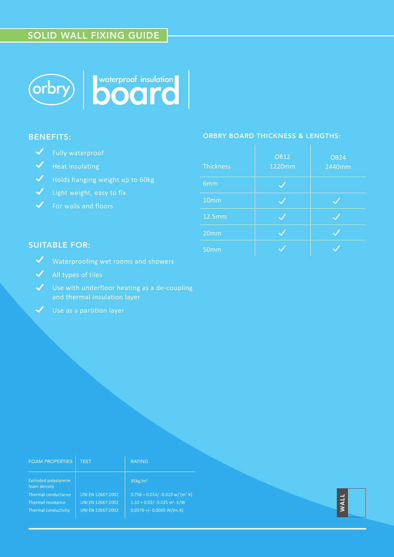# SOLID WALL FIXING GUIDE



# BENEFITS:

- V Fully waterproof
- $\blacktriangleright$  Heat insulating
- Holds hanging weight up to 60kg
- Light weight, easy to fix
- $\checkmark$  For walls and floors

### ORBRY BOARD THICKNESS & LENGTHS:

| <b>Thickness</b> | <b>OB12</b><br>1220mm | <b>OB24</b><br>2440mm |
|------------------|-----------------------|-----------------------|
| 6mm              |                       |                       |
| 10mm             |                       |                       |
| 12.5mm           |                       |                       |
| 20mm             |                       |                       |
| 50mm             |                       |                       |

## SUITABLE FOR:

- Waterproofing wet rooms and showers
- $\sqrt{\phantom{a}}$  All types of tiles
- $\checkmark$  Use with underfloor heating as a de-coupling and thermal insulation layer
	- Use as a partition layer

| <b>FOAM PROPERTIES</b>                                                                                           | <b>TEST</b>                                                 | <b>RATING</b>                                                                                                                                          |             |
|------------------------------------------------------------------------------------------------------------------|-------------------------------------------------------------|--------------------------------------------------------------------------------------------------------------------------------------------------------|-------------|
| <b>Extruded polystyrene</b><br>foam density<br>Thermal conductance<br>Thermal resistance<br>Thermal conductivity | UNI EN 12667:2002<br>UNI EN 12667:2002<br>UNI EN 12667:2002 | $35\text{kg/m}^3$<br>$0.758 + 0.014/ -0.010 \text{ w} / (m^2 \text{ K})$<br>$1.32 + 0.02/ -0.025$ m <sup>2</sup> . K/W<br>$0.0376 + (-0.0005 W/(m.K))$ | <b>WALL</b> |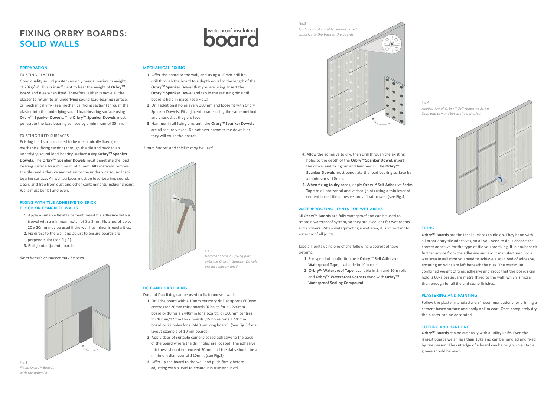#### PREPARATION

#### EXISTING PLASTER

Good quality sound plaster can only bear a maximum weight of 20kg/m<sup>2</sup>. This is insufficient to bear the weight of Orbry<sup>™</sup> **Board** and tiles when fixed. Therefore, either remove all the plaster to return to an underlying sound load-bearing surface, or mechanically fix (see mechanical fixing section) through the plaster into the underlying sound load-bearing surface using **OrbryTM Spanker Dowels**. The **OrbryTM Spanker Dowels** must penetrate the load bearing surface by a minimum of 35mm.

#### EXISTING TILED SURFACES

Existing tiled surfaces need to be mechanically fixed (see mechanical fixing section) through the tile and back to an underlying sound load-bearing surface using Orbry<sup>™</sup> Spanker Dowels. The Orbry<sup>™</sup> Spanker Dowels must penetrate the load bearing surface by a minimum of 35mm. Alternatively, remove the tiles and adhesive and return to the underlying sound loadbearing surface. All wall surfaces must be load-bearing, sound, clean, and free from dust and other contaminants including paint. Walls must be flat and even.

#### FIXING WITH TILE ADHESIVE TO BRICK, BLOCK OR CONCRETE WALLS

- **1.** Apply a suitable flexible cement based tile adhesive with a trowel with a minimum notch of 8 x 8mm. Notches of up to 20 x 20mm may be used if the wall has minor irregularities.
- **2.** Fix direct to the wall and adjust to ensure boards are perpendicular (see Fig.1).
- **3.** Butt joint adjacent boards.

# FIXING ORBRY BOARDS:<br>SOLID WALLS SOLID WALLS

*6mm boards or thicker may be used.* 



#### MECHANICAL FIXING

- **1.** Offer the board to the wall, and using a 10mm drill bit, drill through the board to a depth equal to the length of the **Orbry™ Spanker Dowel** that you are using. Insert the **Orbry™ Spanker Dowel** and tap in the securing pin until board is held in place. (see Fig.2)
- **2.** Drill additional holes every 300mm and loose fit with Orbry Spanker Dowels. Fit adjacent boards using the same method and check that they are level.
- **3.** Hammer in all fixing pins until the Orbry™ Spanker Dowels are all securely fixed. Do not over hammer the dowels or they will crush the boards.

*10mm boards and thicker may be used.*



#### DOT AND DAB FIXING

Dot and Dab fixing can be used to fix to uneven walls.

- **1.** Drill the board with a 10mm masonry drill at approx 600mm centres for 20mm thick boards (6 holes for a 1220mm board or 10 for a 2440mm long board), or 300mm centres for 10mm/12mm thick boards (15 holes for a 1220mm board or 27 holes for a 2440mm long board). (See Fig.3 for a layout example of 10mm boards).
- **2.** Apply dabs of suitable cement-based adhesive to the back of the board where the drill holes are located. The adhesive thickness should not exceed 30mm and the dabs should be a minimum diameter of 120mm. (see Fig.3)
- **3.** Offer up the board to the wall and push firmly before adjusting with a level to ensure it is true and level.

Fig.1 *Fixing OrbryTM Boards with tile adhesive.*

- **4.** Allow the adhesive to dry, then drill through the existing holes to the depth of the **OrbryTM Spanker Dowel**, insert the dowel and fixing pin and hammer in. The Orbry<sup>™</sup>  **Spanker Dowels** must penetrate the load bearing surface by a minimum of 35mm.
- **5. When fixing to dry areas,** apply **OrbryTM Self Adhesive Scrim Tape** to all horizontal and vertical joints using a thin layer of cement based tile adhesive and a float trowel. (see Fig.4)

#### WATERPROOFING JOINTS FOR WET AREAS

All **OrbryTM Boards** are fully waterproof and can be used to create a waterproof system, so they are excellent for wet rooms and showers. When waterproofing a wet area, it is important to waterproof all joints.

Tape all joints using one of the following waterproof tape systems:

- **1.** For speed of application, use **OrbryTM Self Adhesive Waterproof Tape**, available in 10m rolls.
- **2. OrbryTM Waterproof Tape**, available in 5m and 10m rolls, and Orbry<sup>™</sup> Waterproof Corners fixed with Orbry<sup>™</sup>  **Waterproof Sealing Compound.**

Fig.2 *Hammer home all fixing pins until the OrbryTM Spanker Dowels are all securely fixed.*





#### TILING

**OrbryTM Boards** are the ideal surfaces to tile on. They bond with all proprietary tile adhesives, so all you need to do is choose the correct adhesive for the type of tile you are fixing. If in doubt seek further advice from the adhesive and grout manufacturer. For a wet area installation you need to achieve a solid bed of adhesive, ensuring no voids are left beneath the tiles. The maximum combined weight of tiles, adhesive and grout that the boards can hold is 60kg per square metre (fixed to the wall) which is more than enough for all tile and stone finishes.

### PLASTERING AND PAINTING

Follow the plaster manufacturers' recommendations for priming a cement based surface and apply a skim coat. Once completely dry the plaster can be decorated.

#### CUTTING AND HANDLING

**OrbryTM Boards** can be cut easily with a utility knife. Even the largest boards weigh less than 10kg and can be handled and fixed by one person. The cut edge of a board can be rough, so suitable gloves should be worn.